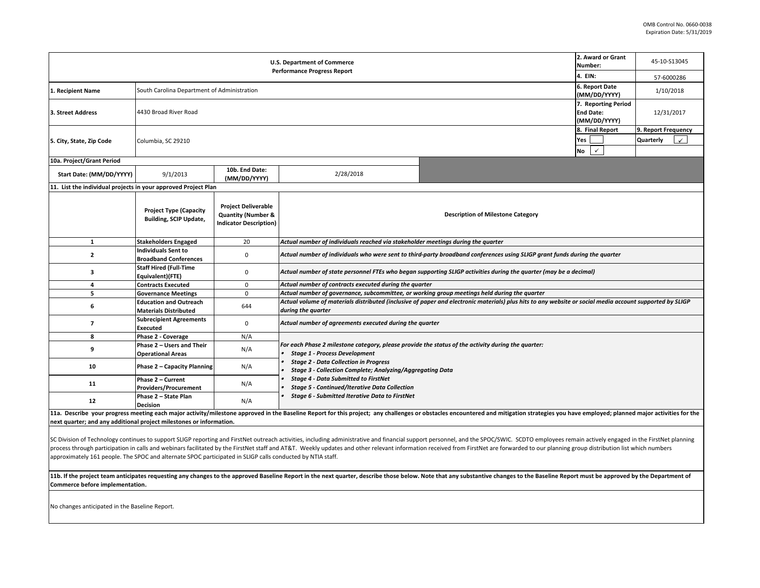| <b>U.S. Department of Commerce</b><br><b>Performance Progress Report</b> |                                                                |                                                                                              |                                                                                                                                                                                |                                                                                              | 2. Award or Grant<br>45-10-S13045<br>Number:            |                                                  |  |  |
|--------------------------------------------------------------------------|----------------------------------------------------------------|----------------------------------------------------------------------------------------------|--------------------------------------------------------------------------------------------------------------------------------------------------------------------------------|----------------------------------------------------------------------------------------------|---------------------------------------------------------|--------------------------------------------------|--|--|
|                                                                          |                                                                |                                                                                              |                                                                                                                                                                                |                                                                                              | 4. EIN:                                                 | 57-6000286                                       |  |  |
| 1. Recipient Name                                                        | South Carolina Department of Administration                    |                                                                                              |                                                                                                                                                                                |                                                                                              | 6. Report Date<br>(MM/DD/YYYY)                          | 1/10/2018                                        |  |  |
| 3. Street Address                                                        | 4430 Broad River Road                                          |                                                                                              |                                                                                                                                                                                |                                                                                              | 7. Reporting Period<br><b>End Date:</b><br>(MM/DD/YYYY) | 12/31/2017                                       |  |  |
| 5. City, State, Zip Code                                                 | Columbia, SC 29210                                             |                                                                                              |                                                                                                                                                                                |                                                                                              | 8. Final Report<br>Yes<br><b>No</b><br>$\checkmark$     | 9. Report Frequency<br>Quarterly<br>$\checkmark$ |  |  |
| 10a. Project/Grant Period                                                |                                                                |                                                                                              |                                                                                                                                                                                |                                                                                              |                                                         |                                                  |  |  |
| Start Date: (MM/DD/YYYY)                                                 | 9/1/2013                                                       | 10b. End Date:<br>(MM/DD/YYYY)                                                               | 2/28/2018                                                                                                                                                                      |                                                                                              |                                                         |                                                  |  |  |
| 11. List the individual projects in your approved Project Plan           |                                                                |                                                                                              |                                                                                                                                                                                |                                                                                              |                                                         |                                                  |  |  |
|                                                                          | <b>Project Type (Capacity</b><br><b>Building, SCIP Update,</b> | <b>Project Deliverable</b><br><b>Quantity (Number &amp;</b><br><b>Indicator Description)</b> |                                                                                                                                                                                | <b>Description of Milestone Category</b>                                                     |                                                         |                                                  |  |  |
| $\mathbf{1}$                                                             | <b>Stakeholders Engaged</b>                                    | 20                                                                                           | Actual number of individuals reached via stakeholder meetings during the quarter                                                                                               |                                                                                              |                                                         |                                                  |  |  |
| $\overline{2}$                                                           | <b>Individuals Sent to</b><br><b>Broadband Conferences</b>     | $\mathbf 0$                                                                                  | Actual number of individuals who were sent to third-party broadband conferences using SLIGP grant funds during the quarter                                                     |                                                                                              |                                                         |                                                  |  |  |
| з                                                                        | <b>Staff Hired (Full-Time</b><br>Equivalent)(FTE)              | 0                                                                                            | Actual number of state personnel FTEs who began supporting SLIGP activities during the quarter (may be a decimal)                                                              |                                                                                              |                                                         |                                                  |  |  |
| 4                                                                        | <b>Contracts Executed</b>                                      | $\mathbf 0$                                                                                  | Actual number of contracts executed during the quarter                                                                                                                         |                                                                                              |                                                         |                                                  |  |  |
| 5                                                                        | <b>Governance Meetings</b>                                     | $\mathbf 0$                                                                                  |                                                                                                                                                                                | Actual number of governance, subcommittee, or working group meetings held during the quarter |                                                         |                                                  |  |  |
| 6                                                                        | <b>Education and Outreach</b><br><b>Materials Distributed</b>  | 644                                                                                          | Actual volume of materials distributed (inclusive of paper and electronic materials) plus hits to any website or social media account supported by SLIGP<br>during the quarter |                                                                                              |                                                         |                                                  |  |  |
| $\overline{\phantom{a}}$                                                 | <b>Subrecipient Agreements</b><br><b>Executed</b>              | $\mathbf 0$                                                                                  | Actual number of agreements executed during the quarter                                                                                                                        |                                                                                              |                                                         |                                                  |  |  |
| 8                                                                        | Phase 2 - Coverage                                             | N/A                                                                                          |                                                                                                                                                                                |                                                                                              |                                                         |                                                  |  |  |
| 9                                                                        | Phase 2 - Users and Their<br><b>Operational Areas</b>          | N/A                                                                                          | For each Phase 2 milestone category, please provide the status of the activity during the quarter:<br><b>Stage 1 - Process Development</b>                                     |                                                                                              |                                                         |                                                  |  |  |
| 10                                                                       | Phase 2 - Capacity Planning                                    | N/A                                                                                          | <b>Stage 2 - Data Collection in Progress</b><br><b>Stage 3 - Collection Complete; Analyzing/Aggregating Data</b>                                                               |                                                                                              |                                                         |                                                  |  |  |
| 11                                                                       | Phase 2 - Current<br><b>Providers/Procurement</b>              | N/A                                                                                          | <b>Stage 4 - Data Submitted to FirstNet</b><br><b>Stage 5 - Continued/Iterative Data Collection</b>                                                                            |                                                                                              |                                                         |                                                  |  |  |
| 12                                                                       | Phase 2 - State Plan<br><b>Decision</b>                        | N/A                                                                                          | Stage 6 - Submitted Iterative Data to FirstNet                                                                                                                                 |                                                                                              |                                                         |                                                  |  |  |

11a. Describe your progress meeting each major activity/milestone approved in the Baseline Report for this project; any challenges or obstacles encountered and mitigation strategies you have employed; planned major activit **next quarter; and any additional project milestones or information.** 

SC Division of Technology continues to support SLIGP reporting and FirstNet outreach activities, including administrative and financial support personnel, and the SPOC/SWIC. SCDTO employees remain actively engaged in the F process through participation in calls and webinars facilitated by the FirstNet staff and AT&T. Weekly updates and other relevant information received from FirstNet are forwarded to our planning group distribution list whi approximately 161 people. The SPOC and alternate SPOC participated in SLIGP calls conducted by NTIA staff.

11b. If the project team anticipates requesting any changes to the approved Baseline Report in the next quarter, describe those below. Note that any substantive changes to the Baseline Report must be approved by the Depart **Commerce before implementation.** 

No changes anticipated in the Baseline Report.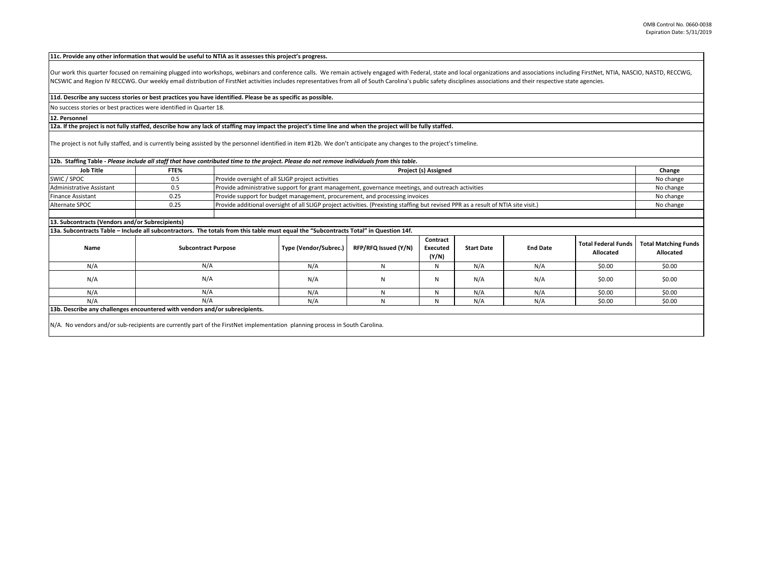**11c. Provide any other information that would be useful to NTIA as it assesses this project's progress.** 

Our work this quarter focused on remaining plugged into workshops, webinars and conference calls. We remain actively engaged with Federal, state and local organizations and associations including FirstNet, NTIA, NASCIO, NA NCSWIC and Region IV RECCWG. Our weekly email distribution of FirstNet activities includes representatives from all of South Carolina's public safety disciplines associations and their respective state agencies.

## **11d. Describe any success stories or best practices you have identified. Please be as specific as possible.**

No success stories or best practices were identified in Quarter 18.

## **12. Personnel**

## **12a. If the project is not fully staffed, describe how any lack of staffing may impact the project's time line and when the project will be fully staffed.**

The project is not fully staffed, and is currently being assisted by the personnel identified in item #12b. We don't anticipate any changes to the project's timeline.

| 12b. Staffing Table - Please include all staff that have contributed time to the project. Please do not remove individuals from this table. |                            |  |                                                                                                                                     |                      |                               |                   |                 |                                         |                                          |
|---------------------------------------------------------------------------------------------------------------------------------------------|----------------------------|--|-------------------------------------------------------------------------------------------------------------------------------------|----------------------|-------------------------------|-------------------|-----------------|-----------------------------------------|------------------------------------------|
| <b>Job Title</b>                                                                                                                            | FTE%                       |  | Project (s) Assigned                                                                                                                |                      |                               |                   |                 | Change                                  |                                          |
| SWIC / SPOC                                                                                                                                 | 0.5                        |  | Provide oversight of all SLIGP project activities                                                                                   |                      |                               |                   |                 | No change                               |                                          |
| <b>Administrative Assistant</b>                                                                                                             | 0.5                        |  | Provide administrative support for grant management, governance meetings, and outreach activities                                   |                      |                               |                   |                 | No change                               |                                          |
| <b>Finance Assistant</b>                                                                                                                    | 0.25                       |  | Provide support for budget management, procurement, and processing invoices                                                         |                      |                               |                   |                 | No change                               |                                          |
| Alternate SPOC                                                                                                                              | 0.25                       |  | Provide additional oversight of all SLIGP project activities. (Prexisting staffing but revised PPR as a result of NTIA site visit.) |                      |                               |                   |                 |                                         | No change                                |
|                                                                                                                                             |                            |  |                                                                                                                                     |                      |                               |                   |                 |                                         |                                          |
| 13. Subcontracts (Vendors and/or Subrecipients)                                                                                             |                            |  |                                                                                                                                     |                      |                               |                   |                 |                                         |                                          |
| 13a. Subcontracts Table – Include all subcontractors. The totals from this table must equal the "Subcontracts Total" in Question 14f.       |                            |  |                                                                                                                                     |                      |                               |                   |                 |                                         |                                          |
| Name                                                                                                                                        | <b>Subcontract Purpose</b> |  | Type (Vendor/Subrec.)                                                                                                               | RFP/RFQ Issued (Y/N) | Contract<br>Executed<br>(Y/N) | <b>Start Date</b> | <b>End Date</b> | <b>Total Federal Funds</b><br>Allocated | <b>Total Matching Funds</b><br>Allocated |
| N/A                                                                                                                                         | N/A                        |  | N/A                                                                                                                                 | N                    | N                             | N/A               | N/A             | \$0.00                                  | \$0.00                                   |
| N/A                                                                                                                                         | N/A                        |  | N/A                                                                                                                                 | N                    | N                             | N/A               | N/A             | \$0.00                                  | \$0.00                                   |
| N/A                                                                                                                                         | N/A                        |  | N/A                                                                                                                                 | N                    | N                             | N/A               | N/A             | \$0.00                                  | \$0.00                                   |
| N/A                                                                                                                                         | N/A                        |  | N/A                                                                                                                                 | N                    | N                             | N/A               | N/A             | \$0.00                                  | \$0.00                                   |
| 13b. Describe any challenges encountered with vendors and/or subrecipients.                                                                 |                            |  |                                                                                                                                     |                      |                               |                   |                 |                                         |                                          |
| N/A. No vendors and/or sub-recipients are currently part of the FirstNet implementation planning process in South Carolina.                 |                            |  |                                                                                                                                     |                      |                               |                   |                 |                                         |                                          |